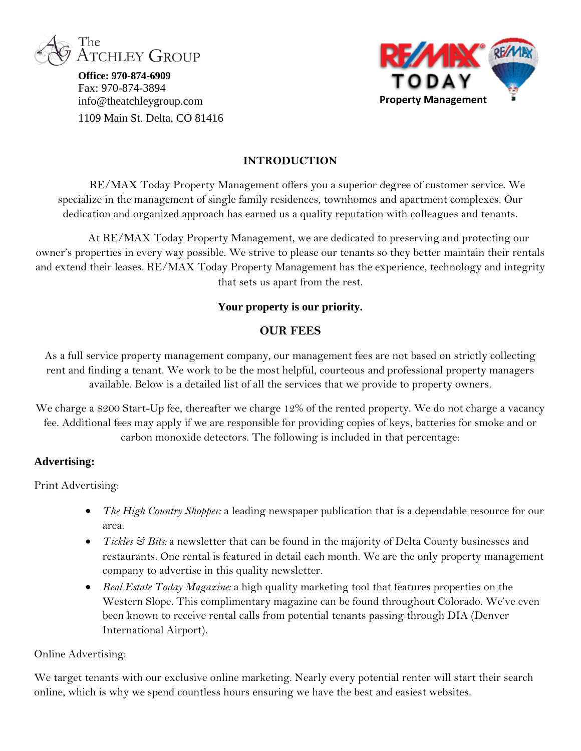

**Office: 970-874-6909** Fax: 970-874-3894 info@theatchleygroup.com 1109 Main St. Delta, CO 81416



### **INTRODUCTION**

RE/MAX Today Property Management offers you a superior degree of customer service. We specialize in the management of single family residences, townhomes and apartment complexes. Our dedication and organized approach has earned us a quality reputation with colleagues and tenants.

At RE/MAX Today Property Management, we are dedicated to preserving and protecting our owner's properties in every way possible. We strive to please our tenants so they better maintain their rentals and extend their leases. RE/MAX Today Property Management has the experience, technology and integrity that sets us apart from the rest.

### **Your property is our priority.**

### **OUR FEES**

As a full service property management company, our management fees are not based on strictly collecting rent and finding a tenant. We work to be the most helpful, courteous and professional property managers available. Below is a detailed list of all the services that we provide to property owners.

We charge a \$200 Start-Up fee, thereafter we charge 12% of the rented property. We do not charge a vacancy fee. Additional fees may apply if we are responsible for providing copies of keys, batteries for smoke and or carbon monoxide detectors. The following is included in that percentage:

### **Advertising:**

Print Advertising:

- *The High Country Shopper:* a leading newspaper publication that is a dependable resource for our area.
- *Tickles* & *Bits:* a newsletter that can be found in the majority of Delta County businesses and restaurants. One rental is featured in detail each month. We are the only property management company to advertise in this quality newsletter.
- *Real Estate Today Magazine:* a high quality marketing tool that features properties on the Western Slope. This complimentary magazine can be found throughout Colorado. We've even been known to receive rental calls from potential tenants passing through DIA (Denver International Airport).

#### Online Advertising:

We target tenants with our exclusive online marketing. Nearly every potential renter will start their search online, which is why we spend countless hours ensuring we have the best and easiest websites.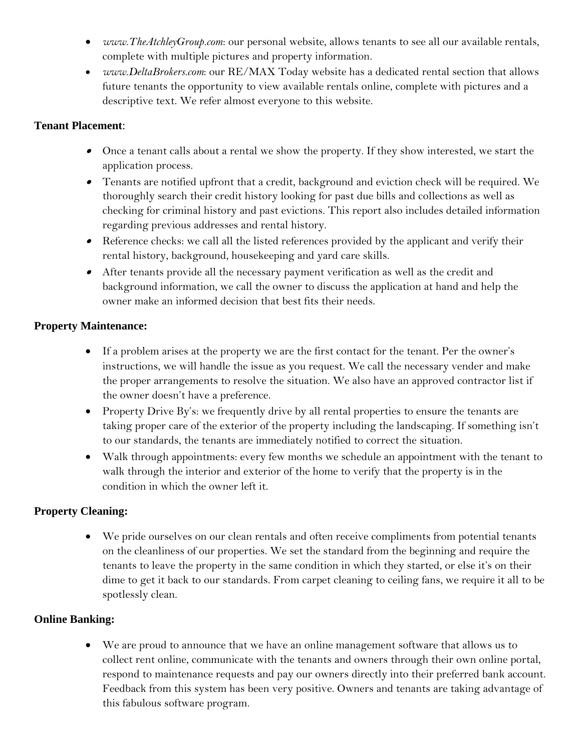- *www.TheAtchleyGroup.com*: our personal website, allows tenants to see all our available rentals, complete with multiple pictures and property information.
- *www.DeltaBrokers.com*: our RE/MAX Today website has a dedicated rental section that allows future tenants the opportunity to view available rentals online, complete with pictures and a descriptive text. We refer almost everyone to this website.

## **Tenant Placement**:

- Once a tenant calls about a rental we show the property. If they show interested, we start the application process.
- Tenants are notified upfront that a credit, background and eviction check will be required. We thoroughly search their credit history looking for past due bills and collections as well as checking for criminal history and past evictions. This report also includes detailed information regarding previous addresses and rental history.
- Reference checks: we call all the listed references provided by the applicant and verify their rental history, background, housekeeping and yard care skills.
- After tenants provide all the necessary payment verification as well as the credit and background information, we call the owner to discuss the application at hand and help the owner make an informed decision that best fits their needs.

# **Property Maintenance:**

- If a problem arises at the property we are the first contact for the tenant. Per the owner's instructions, we will handle the issue as you request. We call the necessary vender and make the proper arrangements to resolve the situation. We also have an approved contractor list if the owner doesn't have a preference.
- Property Drive By's: we frequently drive by all rental properties to ensure the tenants are taking proper care of the exterior of the property including the landscaping. If something isn't to our standards, the tenants are immediately notified to correct the situation.
- Walk through appointments: every few months we schedule an appointment with the tenant to walk through the interior and exterior of the home to verify that the property is in the condition in which the owner left it.

# **Property Cleaning:**

 We pride ourselves on our clean rentals and often receive compliments from potential tenants on the cleanliness of our properties. We set the standard from the beginning and require the tenants to leave the property in the same condition in which they started, or else it's on their dime to get it back to our standards. From carpet cleaning to ceiling fans, we require it all to be spotlessly clean.

### **Online Banking:**

 We are proud to announce that we have an online management software that allows us to collect rent online, communicate with the tenants and owners through their own online portal, respond to maintenance requests and pay our owners directly into their preferred bank account. Feedback from this system has been very positive. Owners and tenants are taking advantage of this fabulous software program.